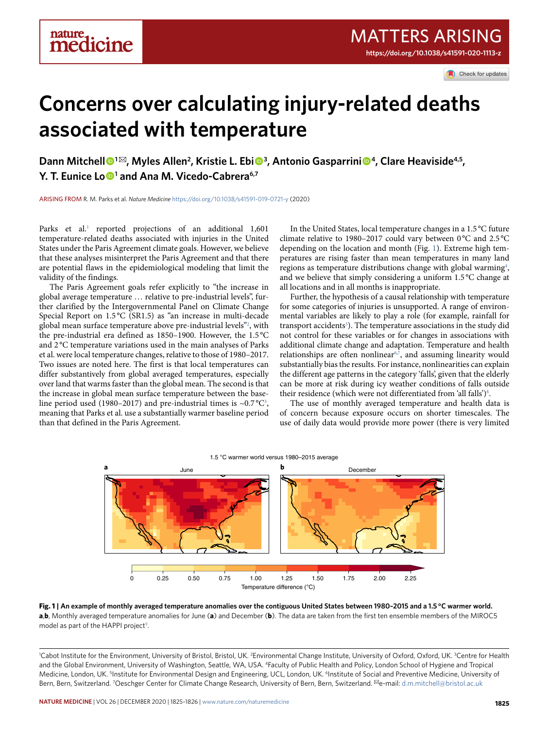Check for updates

# **Concerns over calculating injury-related deaths associated with temperature**

**Dann Mitchell <sup>1</sup>** ✉**, Myles Allen2 , Kristie L. Ebi  <sup>3</sup> , Antonio Gasparrini 4, Clare Heaviside4,5, Y. T. Eunice Lo <sup>1</sup> and Ana M. Vicedo-Cabrera6,7**

arising from R. M. Parks et al. *Nature Medicine* <https://doi.org/10.1038/s41591-019-0721-y>(2020)

Parks et al.<sup>[1](#page-1-0)</sup> reported projections of an additional 1,601 temperature-related deaths associated with injuries in the United States under the Paris Agreement climate goals. However, we believe that these analyses misinterpret the Paris Agreement and that there are potential flaws in the epidemiological modeling that limit the validity of the findings.

The Paris Agreement goals refer explicitly to "the increase in global average temperature … relative to pre-industrial levels", further clarified by the Intergovernmental Panel on Climate Change Special Report on 1.5 °C (SR1.5) as "an increase in multi-decade global mean surface temperature above pre-industrial levels["2](#page-1-1) , with the pre-industrial era defined as 1850–1900. However, the 1.5 °C and 2 °C temperature variations used in the main analyses of Parks et al. were local temperature changes, relative to those of 1980–2017. Two issues are noted here. The first is that local temperatures can differ substantively from global averaged temperatures, especially over land that warms faster than the global mean. The second is that the increase in global mean surface temperature between the base-line period used (1980–2017) and pre-industrial times is ~0.7 °C<sup>[3](#page-1-2)</sup>, meaning that Parks et al. use a substantially warmer baseline period than that defined in the Paris Agreement.

In the United States, local temperature changes in a 1.5 °C future climate relative to 1980-2017 could vary between 0°C and 2.5°C depending on the location and month (Fig. [1\)](#page-0-0). Extreme high temperatures are rising faster than mean temperatures in many land regions as temperature distributions change with global warming<sup>4</sup>, and we believe that simply considering a uniform 1.5 °C change at all locations and in all months is inappropriate.

Further, the hypothesis of a causal relationship with temperature for some categories of injuries is unsupported. A range of environmental variables are likely to play a role (for example, rainfall for transport accidents<sup>[5](#page-1-4)</sup>). The temperature associations in the study did not control for these variables or for changes in associations with additional climate change and adaptation. Temperature and health relationships are often nonlinear $67$  $67$ , and assuming linearity would substantially bias the results. For instance, nonlinearities can explain the different age patterns in the category 'falls', given that the elderly can be more at risk during icy weather conditions of falls outside their residence (which were not differentiated from 'all falls')<sup>8</sup>.

The use of monthly averaged temperature and health data is of concern because exposure occurs on shorter timescales. The use of daily data would provide more power (there is very limited



<span id="page-0-0"></span>**Fig. 1 | An example of monthly averaged temperature anomalies over the contiguous United States between 1980–2015 and a 1.5 °C warmer world. a**,**b**, Monthly averaged temperature anomalies for June (**a**) and December (**b**). The data are taken from the first ten ensemble members of the MIROC5 model as part of the HAPPI project<sup>[9](#page-1-8)</sup>.

<sup>1</sup>Cabot Institute for the Environment, University of Bristol, Bristol, UK. <sup>2</sup>Environmental Change Institute, University of Oxford, Oxford, UK. <sup>3</sup>Centre for Health and the Global Environment, University of Washington, Seattle, WA, USA. 4Faculty of Public Health and Policy, London School of Hygiene and Tropical Medicine, London, UK. <sup>5</sup>Institute for Environmental Design and Engineering, UCL, London, UK. <sup>6</sup>Institute of Social and Preventive Medicine, University of Bern, Bern, Switzerland. <sup>7</sup>Oeschger Center for Climate Change Research, University of Bern, Bern, Switzerland. <sup>⊠</sup>e-mail: [d.m.mitchell@bristol.ac.uk](mailto:d.m.mitchell@bristol.ac.uk)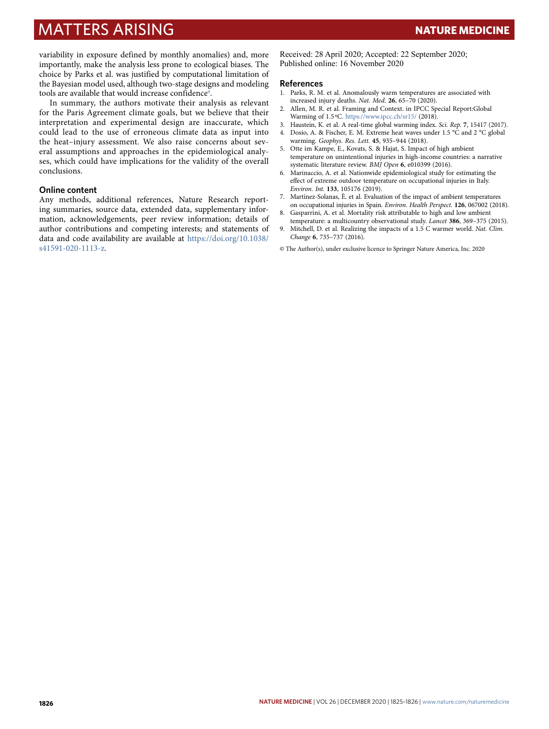## matters Arising **Nature Medicine**

variability in exposure defined by monthly anomalies) and, more importantly, make the analysis less prone to ecological biases. The choice by Parks et al. was justified by computational limitation of the Bayesian model used, although two-stage designs and modeling tools are available that would increase confidence<sup>9</sup>.

In summary, the authors motivate their analysis as relevant for the Paris Agreement climate goals, but we believe that their interpretation and experimental design are inaccurate, which could lead to the use of erroneous climate data as input into the heat–injury assessment. We also raise concerns about several assumptions and approaches in the epidemiological analyses, which could have implications for the validity of the overall conclusions.

#### **Online content**

Any methods, additional references, Nature Research reporting summaries, source data, extended data, supplementary information, acknowledgements, peer review information; details of author contributions and competing interests; and statements of data and code availability are available at [https://doi.org/10.1038/](https://doi.org/10.1038/s41591-020-1113-z) [s41591-020-1113-z](https://doi.org/10.1038/s41591-020-1113-z).

Received: 28 April 2020; Accepted: 22 September 2020; Published online: 16 November 2020

#### **References**

- <span id="page-1-0"></span>1. Parks, R. M. et al. Anomalously warm temperatures are associated with increased injury deaths. *Nat. Med.* **26**, 65–70 (2020).
- <span id="page-1-1"></span>2. Allen, M. R. et al. Framing and Context. in IPCC Special Report:Global Warming of 1.5 °C. <https://www.ipcc.ch/sr15/> (2018).
- <span id="page-1-2"></span>3. Haustein, K. et al. A real-time global warming index. *Sci. Rep.* **7**, 15417 (2017).
- <span id="page-1-3"></span>4. Dosio, A. & Fischer, E. M. Extreme heat waves under 1.5 °C and 2 °C global warming. *Geophys. Res. Lett.* **45**, 935–944 (2018).
- <span id="page-1-4"></span>5. Otte im Kampe, E., Kovats, S. & Hajat, S. Impact of high ambient temperature on unintentional injuries in high-income countries: a narrative systematic literature review. *BMJ Open* **6**, e010399 (2016).
- <span id="page-1-5"></span>6. Marinaccio, A. et al. Nationwide epidemiological study for estimating the efect of extreme outdoor temperature on occupational injuries in Italy. *Environ. Int.* **133**, 105176 (2019).
- <span id="page-1-6"></span>7. Martínez-Solanas, È. et al. Evaluation of the impact of ambient temperatures on occupational injuries in Spain. *Environ. Health Perspect.* **126**, 067002 (2018).
- <span id="page-1-7"></span>8. Gasparrini, A. et al. Mortality risk attributable to high and low ambient temperature: a multicountry observational study. *Lancet* **386**, 369–375 (2015).
- <span id="page-1-8"></span>9. Mitchell, D. et al. Realizing the impacts of a 1.5 C warmer world. *Nat. Clim. Change* **6**, 735–737 (2016).
- © The Author(s), under exclusive licence to Springer Nature America, Inc. 2020